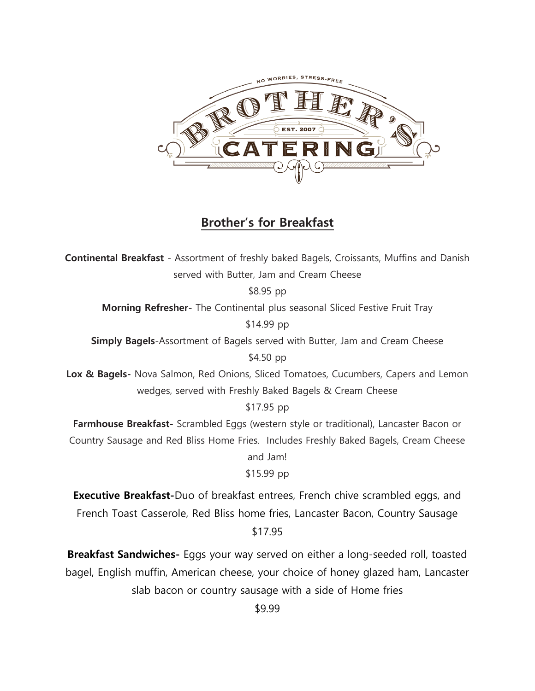

# **Brother's for Breakfast**

**Continental Breakfast** - Assortment of freshly baked Bagels, Croissants, Muffins and Danish served with Butter, Jam and Cream Cheese \$8.95 pp

**Morning Refresher-** The Continental plus seasonal Sliced Festive Fruit Tray

\$14.99 pp

**Simply Bagels**-Assortment of Bagels served with Butter, Jam and Cream Cheese

\$4.50 pp

**Lox & Bagels-** Nova Salmon, Red Onions, Sliced Tomatoes, Cucumbers, Capers and Lemon wedges, served with Freshly Baked Bagels & Cream Cheese

\$17.95 pp

**Farmhouse Breakfast-** Scrambled Eggs (western style or traditional), Lancaster Bacon or Country Sausage and Red Bliss Home Fries. Includes Freshly Baked Bagels, Cream Cheese

and Jam!

\$15.99 pp

**Executive Breakfast-**Duo of breakfast entrees, French chive scrambled eggs, and French Toast Casserole, Red Bliss home fries, Lancaster Bacon, Country Sausage \$17.95

**Breakfast Sandwiches-** Eggs your way served on either a long-seeded roll, toasted bagel, English muffin, American cheese, your choice of honey glazed ham, Lancaster slab bacon or country sausage with a side of Home fries

\$9.99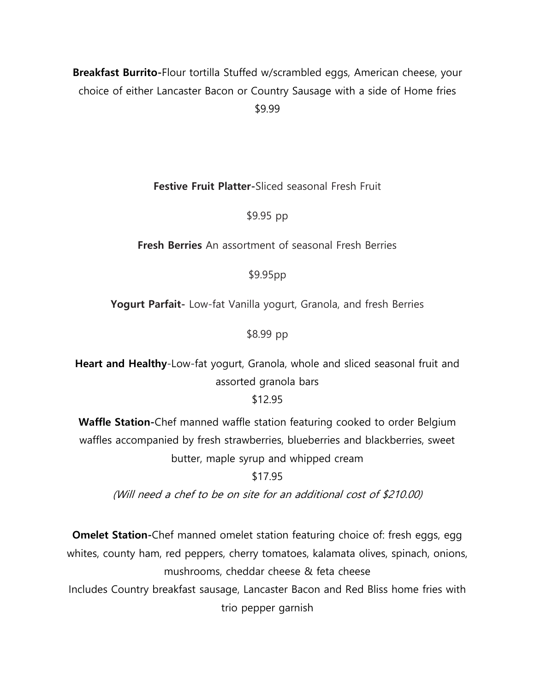# **Breakfast Burrito-**Flour tortilla Stuffed w/scrambled eggs, American cheese, your choice of either Lancaster Bacon or Country Sausage with a side of Home fries \$9.99

**Festive Fruit Platter-**Sliced seasonal Fresh Fruit

\$9.95 pp

**Fresh Berries** An assortment of seasonal Fresh Berries

\$9.95pp

**Yogurt Parfait-** Low-fat Vanilla yogurt, Granola, and fresh Berries

\$8.99 pp

**Heart and Healthy**-Low-fat yogurt, Granola, whole and sliced seasonal fruit and assorted granola bars

\$12.95

**Waffle Station-**Chef manned waffle station featuring cooked to order Belgium waffles accompanied by fresh strawberries, blueberries and blackberries, sweet butter, maple syrup and whipped cream

\$17.95

(Will need a chef to be on site for an additional cost of \$210.00)

**Omelet Station-**Chef manned omelet station featuring choice of: fresh eggs, egg whites, county ham, red peppers, cherry tomatoes, kalamata olives, spinach, onions, mushrooms, cheddar cheese & feta cheese

Includes Country breakfast sausage, Lancaster Bacon and Red Bliss home fries with trio pepper garnish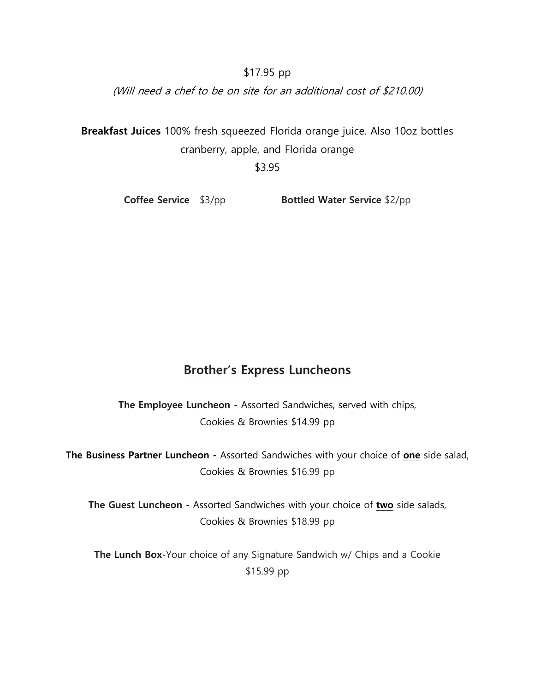\$17.95 pp

(Will need a chef to be on site for an additional cost of \$210.00)

**Breakfast Juices** 100% fresh squeezed Florida orange juice. Also 10oz bottles cranberry, apple, and Florida orange

\$3.95

**Coffee Service** \$3/pp **Bottled Water Service** \$2/pp

# **Brother's Express Luncheons**

**The Employee Luncheon -** Assorted Sandwiches, served with chips, Cookies & Brownies \$14.99 pp

**The Business Partner Luncheon -** Assorted Sandwiches with your choice of **one** side salad, Cookies & Brownies \$16.99 pp

**The Guest Luncheon -** Assorted Sandwiches with your choice of **two** side salads, Cookies & Brownies \$18.99 pp

**The Lunch Box-**Your choice of any Signature Sandwich w/ Chips and a Cookie \$15.99 pp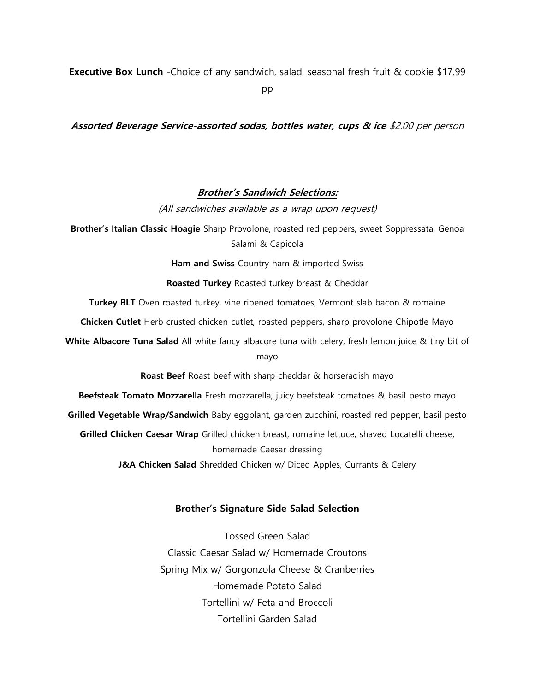**Executive Box Lunch** -Choice of any sandwich, salad, seasonal fresh fruit & cookie \$17.99

pp

**Assorted Beverage Service-assorted sodas, bottles water, cups & ice** \$2.00 per person

#### **Brother's Sandwich Selections:**

(All sandwiches available as a wrap upon request)

**Brother's Italian Classic Hoagie** Sharp Provolone, roasted red peppers, sweet Soppressata, Genoa Salami & Capicola

**Ham and Swiss** Country ham & imported Swiss

**Roasted Turkey** Roasted turkey breast & Cheddar

**Turkey BLT** Oven roasted turkey, vine ripened tomatoes, Vermont slab bacon & romaine

**Chicken Cutlet** Herb crusted chicken cutlet, roasted peppers, sharp provolone Chipotle Mayo

**White Albacore Tuna Salad** All white fancy albacore tuna with celery, fresh lemon juice & tiny bit of mayo

**Roast Beef** Roast beef with sharp cheddar & horseradish mayo

**Beefsteak Tomato Mozzarella** Fresh mozzarella, juicy beefsteak tomatoes & basil pesto mayo

**Grilled Vegetable Wrap/Sandwich** Baby eggplant, garden zucchini, roasted red pepper, basil pesto

**Grilled Chicken Caesar Wrap** Grilled chicken breast, romaine lettuce, shaved Locatelli cheese, homemade Caesar dressing

**J&A Chicken Salad** Shredded Chicken w/ Diced Apples, Currants & Celery

#### **Brother's Signature Side Salad Selection**

Tossed Green Salad Classic Caesar Salad w/ Homemade Croutons Spring Mix w/ Gorgonzola Cheese & Cranberries Homemade Potato Salad Tortellini w/ Feta and Broccoli Tortellini Garden Salad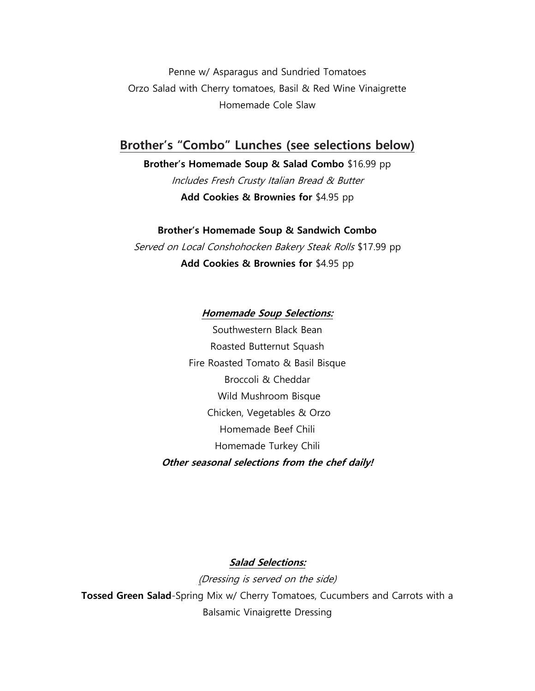Penne w/ Asparagus and Sundried Tomatoes Orzo Salad with Cherry tomatoes, Basil & Red Wine Vinaigrette Homemade Cole Slaw

# **Brother's "Combo" Lunches (see selections below)**

### **Brother's Homemade Soup & Salad Combo** \$16.99 pp

Includes Fresh Crusty Italian Bread & Butter **Add Cookies & Brownies for** \$4.95 pp

#### **Brother's Homemade Soup & Sandwich Combo**

Served on Local Conshohocken Bakery Steak Rolls \$17.99 pp **Add Cookies & Brownies for** \$4.95 pp

#### **Homemade Soup Selections:**

Southwestern Black Bean Roasted Butternut Squash Fire Roasted Tomato & Basil Bisque Broccoli & Cheddar Wild Mushroom Bisque Chicken, Vegetables & Orzo Homemade Beef Chili Homemade Turkey Chili **Other seasonal selections from the chef daily!**

### **Salad Selections:**

(Dressing is served on the side) **Tossed Green Salad**-Spring Mix w/ Cherry Tomatoes, Cucumbers and Carrots with a Balsamic Vinaigrette Dressing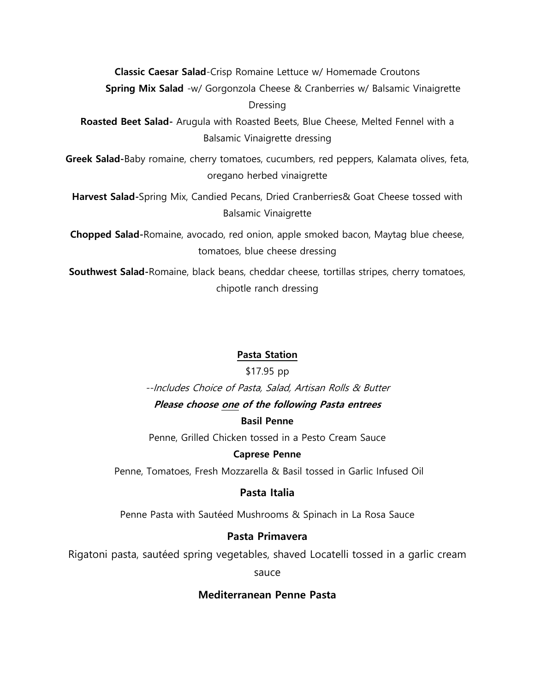**Classic Caesar Salad**-Crisp Romaine Lettuce w/ Homemade Croutons

**Spring Mix Salad** -w/ Gorgonzola Cheese & Cranberries w/ Balsamic Vinaigrette Dressing

**Roasted Beet Salad-** Arugula with Roasted Beets, Blue Cheese, Melted Fennel with a Balsamic Vinaigrette dressing

**Greek Salad-**Baby romaine, cherry tomatoes, cucumbers, red peppers, Kalamata olives, feta, oregano herbed vinaigrette

**Harvest Salad-**Spring Mix, Candied Pecans, Dried Cranberries& Goat Cheese tossed with Balsamic Vinaigrette

**Chopped Salad-**Romaine, avocado, red onion, apple smoked bacon, Maytag blue cheese, tomatoes, blue cheese dressing

**Southwest Salad-**Romaine, black beans, cheddar cheese, tortillas stripes, cherry tomatoes, chipotle ranch dressing

### **Pasta Station**

#### \$17.95 pp

--Includes Choice of Pasta, Salad, Artisan Rolls & Butter **Please choose one of the following Pasta entrees**

#### **Basil Penne**

Penne, Grilled Chicken tossed in a Pesto Cream Sauce

#### **Caprese Penne**

Penne, Tomatoes, Fresh Mozzarella & Basil tossed in Garlic Infused Oil

### **Pasta Italia**

Penne Pasta with Sautéed Mushrooms & Spinach in La Rosa Sauce

### **Pasta Primavera**

Rigatoni pasta, sautéed spring vegetables, shaved Locatelli tossed in a garlic cream

sauce

### **Mediterranean Penne Pasta**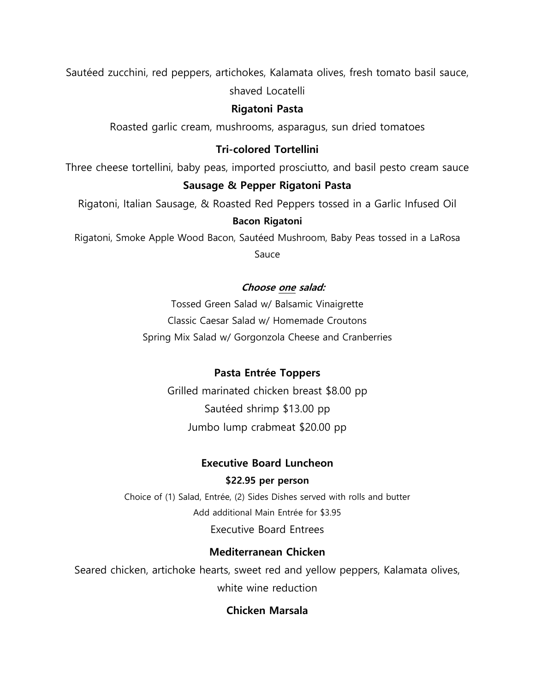Sautéed zucchini, red peppers, artichokes, Kalamata olives, fresh tomato basil sauce, shaved Locatelli

### **Rigatoni Pasta**

Roasted garlic cream, mushrooms, asparagus, sun dried tomatoes

## **Tri-colored Tortellini**

Three cheese tortellini, baby peas, imported prosciutto, and basil pesto cream sauce

# **Sausage & Pepper Rigatoni Pasta**

Rigatoni, Italian Sausage, & Roasted Red Peppers tossed in a Garlic Infused Oil **Bacon Rigatoni**

Rigatoni, Smoke Apple Wood Bacon, Sautéed Mushroom, Baby Peas tossed in a LaRosa

Sauce

# **Choose one salad:**

Tossed Green Salad w/ Balsamic Vinaigrette Classic Caesar Salad w/ Homemade Croutons Spring Mix Salad w/ Gorgonzola Cheese and Cranberries

# **Pasta Entrée Toppers**

Grilled marinated chicken breast \$8.00 pp Sautéed shrimp \$13.00 pp Jumbo lump crabmeat \$20.00 pp

## **Executive Board Luncheon**

## **\$22.95 per person**

Choice of (1) Salad, Entrée, (2) Sides Dishes served with rolls and butter Add additional Main Entrée for \$3.95 Executive Board Entrees

# **Mediterranean Chicken**

Seared chicken, artichoke hearts, sweet red and yellow peppers, Kalamata olives, white wine reduction

# **Chicken Marsala**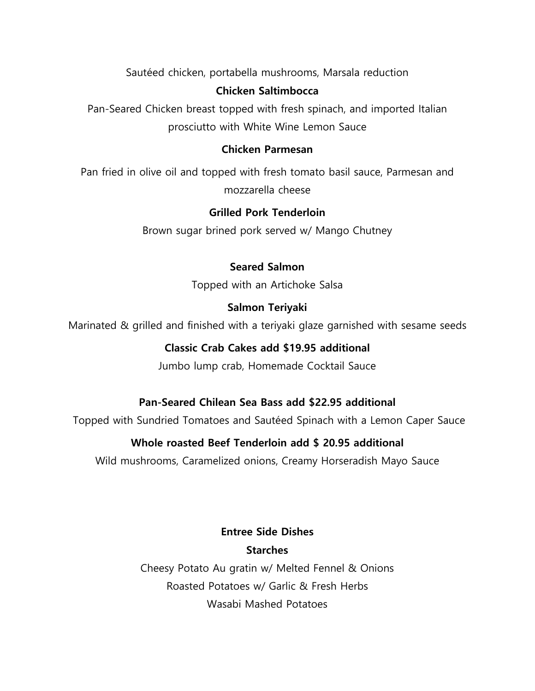Sautéed chicken, portabella mushrooms, Marsala reduction

# **Chicken Saltimbocca**

Pan-Seared Chicken breast topped with fresh spinach, and imported Italian prosciutto with White Wine Lemon Sauce

## **Chicken Parmesan**

Pan fried in olive oil and topped with fresh tomato basil sauce, Parmesan and mozzarella cheese

# **Grilled Pork Tenderloin**

Brown sugar brined pork served w/ Mango Chutney

# **Seared Salmon**

Topped with an Artichoke Salsa

# **Salmon Teriyaki**

Marinated & grilled and finished with a teriyaki glaze garnished with sesame seeds

# **Classic Crab Cakes add \$19.95 additional**

Jumbo lump crab, Homemade Cocktail Sauce

# **Pan-Seared Chilean Sea Bass add \$22.95 additional**

Topped with Sundried Tomatoes and Sautéed Spinach with a Lemon Caper Sauce

# **Whole roasted Beef Tenderloin add \$ 20.95 additional**

Wild mushrooms, Caramelized onions, Creamy Horseradish Mayo Sauce

# **Entree Side Dishes Starches**

Cheesy Potato Au gratin w/ Melted Fennel & Onions Roasted Potatoes w/ Garlic & Fresh Herbs Wasabi Mashed Potatoes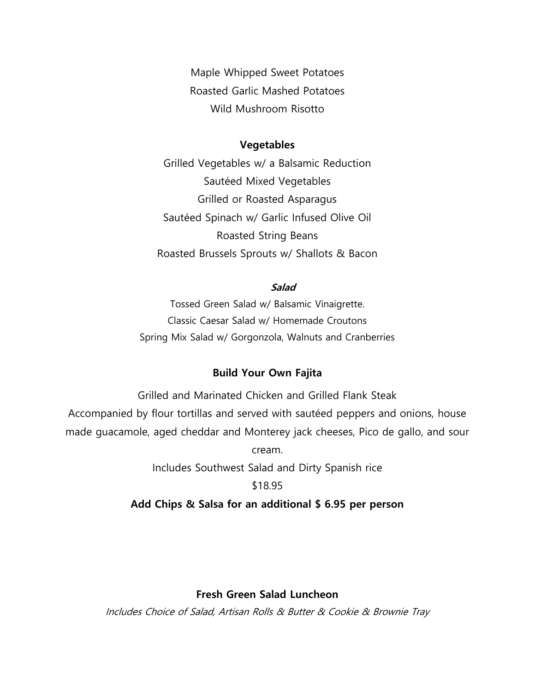Maple Whipped Sweet Potatoes Roasted Garlic Mashed Potatoes Wild Mushroom Risotto

#### **Vegetables**

Grilled Vegetables w/ a Balsamic Reduction Sautéed Mixed Vegetables Grilled or Roasted Asparagus Sautéed Spinach w/ Garlic Infused Olive Oil Roasted String Beans Roasted Brussels Sprouts w/ Shallots & Bacon

### **Salad**

Tossed Green Salad w/ Balsamic Vinaigrette. Classic Caesar Salad w/ Homemade Croutons Spring Mix Salad w/ Gorgonzola, Walnuts and Cranberries

#### **Build Your Own Fajita**

Grilled and Marinated Chicken and Grilled Flank Steak Accompanied by flour tortillas and served with sautéed peppers and onions, house made guacamole, aged cheddar and Monterey jack cheeses, Pico de gallo, and sour cream. Includes Southwest Salad and Dirty Spanish rice \$18.95

### **Add Chips & Salsa for an additional \$ 6.95 per person**

### **Fresh Green Salad Luncheon**

Includes Choice of Salad, Artisan Rolls & Butter & Cookie & Brownie Tray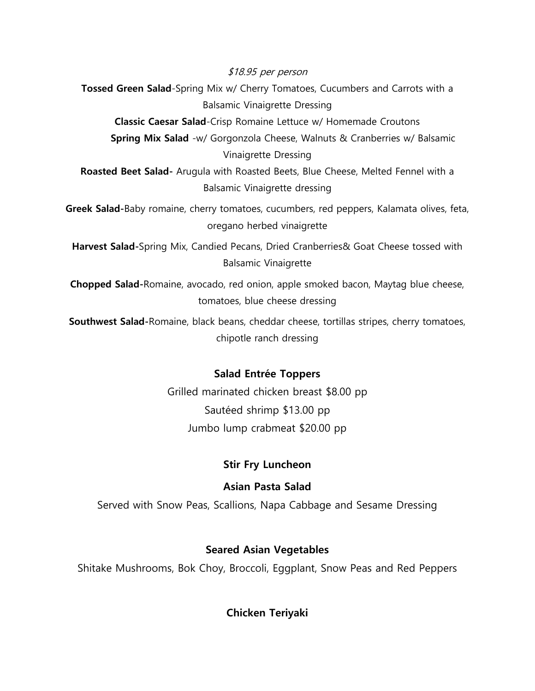\$18.95 per person

**Tossed Green Salad**-Spring Mix w/ Cherry Tomatoes, Cucumbers and Carrots with a Balsamic Vinaigrette Dressing

**Classic Caesar Salad**-Crisp Romaine Lettuce w/ Homemade Croutons

**Spring Mix Salad** -w/ Gorgonzola Cheese, Walnuts & Cranberries w/ Balsamic Vinaigrette Dressing

**Roasted Beet Salad-** Arugula with Roasted Beets, Blue Cheese, Melted Fennel with a Balsamic Vinaigrette dressing

**Greek Salad-**Baby romaine, cherry tomatoes, cucumbers, red peppers, Kalamata olives, feta, oregano herbed vinaigrette

**Harvest Salad-**Spring Mix, Candied Pecans, Dried Cranberries& Goat Cheese tossed with Balsamic Vinaigrette

**Chopped Salad-**Romaine, avocado, red onion, apple smoked bacon, Maytag blue cheese, tomatoes, blue cheese dressing

**Southwest Salad-**Romaine, black beans, cheddar cheese, tortillas stripes, cherry tomatoes, chipotle ranch dressing

## **Salad Entrée Toppers**

Grilled marinated chicken breast \$8.00 pp Sautéed shrimp \$13.00 pp Jumbo lump crabmeat \$20.00 pp

## **Stir Fry Luncheon**

### **Asian Pasta Salad**

Served with Snow Peas, Scallions, Napa Cabbage and Sesame Dressing

## **Seared Asian Vegetables**

Shitake Mushrooms, Bok Choy, Broccoli, Eggplant, Snow Peas and Red Peppers

**Chicken Teriyaki**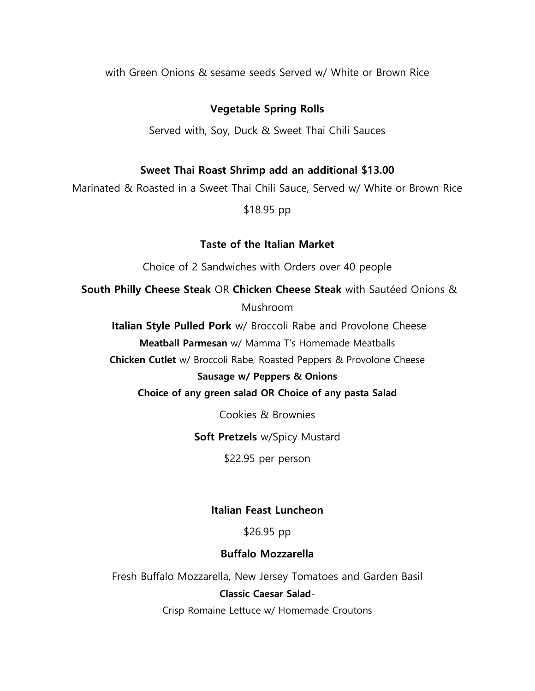with Green Onions & sesame seeds Served w/ White or Brown Rice

### **Vegetable Spring Rolls**

Served with, Soy, Duck & Sweet Thai Chili Sauces

### **Sweet Thai Roast Shrimp add an additional \$13.00**

Marinated & Roasted in a Sweet Thai Chili Sauce, Served w/ White or Brown Rice

### \$18.95 pp

### **Taste of the Italian Market**

Choice of 2 Sandwiches with Orders over 40 people

**South Philly Cheese Steak** OR **Chicken Cheese Steak** with Sautéed Onions &

Mushroom

**Italian Style Pulled Pork** w/ Broccoli Rabe and Provolone Cheese

**Meatball Parmesan** w/ Mamma T's Homemade Meatballs

**Chicken Cutlet** w/ Broccoli Rabe, Roasted Peppers & Provolone Cheese

#### **Sausage w/ Peppers & Onions**

**Choice of any green salad OR Choice of any pasta Salad**

Cookies & Brownies

**Soft Pretzels** w/Spicy Mustard

\$22.95 per person

### **Italian Feast Luncheon**

\$26.95 pp

### **Buffalo Mozzarella**

Fresh Buffalo Mozzarella, New Jersey Tomatoes and Garden Basil **Classic Caesar Salad**-Crisp Romaine Lettuce w/ Homemade Croutons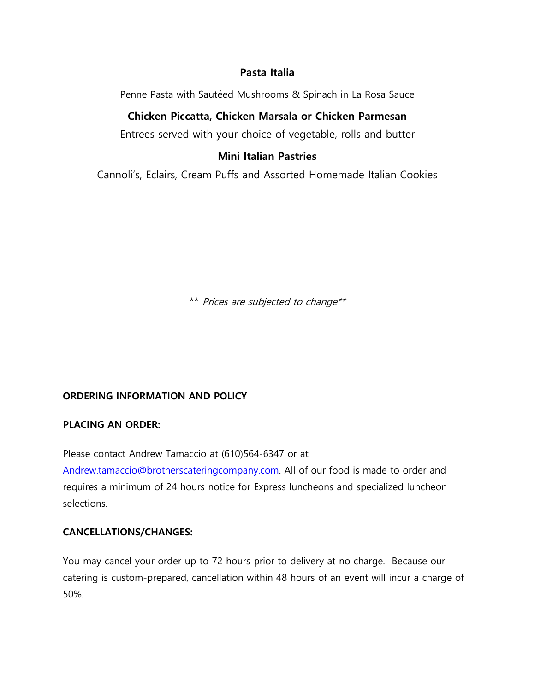## **Pasta Italia**

Penne Pasta with Sautéed Mushrooms & Spinach in La Rosa Sauce

### **Chicken Piccatta, Chicken Marsala or Chicken Parmesan**

Entrees served with your choice of vegetable, rolls and butter

### **Mini Italian Pastries**

Cannoli's, Eclairs, Cream Puffs and Assorted Homemade Italian Cookies

\*\* Prices are subjected to change\*\*

### **ORDERING INFORMATION AND POLICY**

### **PLACING AN ORDER:**

Please contact Andrew Tamaccio at (610)564-6347 or at [Andrew.tamaccio@brotherscateringcompany.com.](mailto:Andrew.tamaccio@brotherscateringcompany.com) All of our food is made to order and requires a minimum of 24 hours notice for Express luncheons and specialized luncheon selections.

### **CANCELLATIONS/CHANGES:**

You may cancel your order up to 72 hours prior to delivery at no charge. Because our catering is custom-prepared, cancellation within 48 hours of an event will incur a charge of 50%.